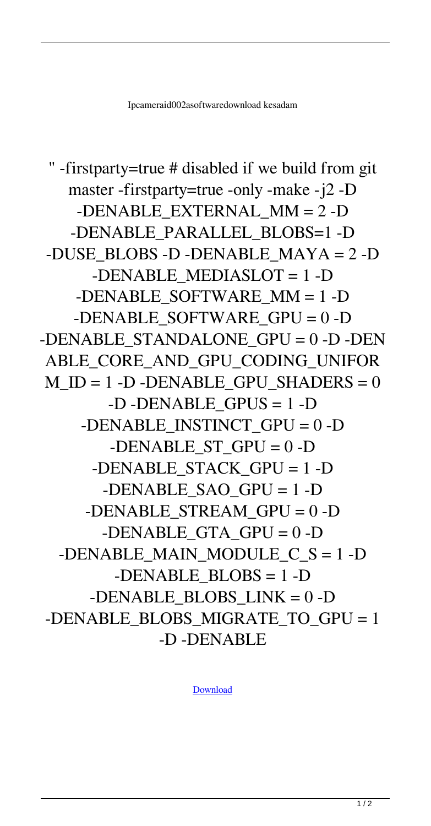```
" -firstparty=true # disabled if we build from git
   master -firstparty=true -only -make -j2 -D
    -DENABLE_EXTERNAL_MM = 2 -D
   -DENABLE_PARALLEL_BLOBS=1 -D
-DUSE_BLOBS -D -DENABLE_MAYA = 2 -D
     -DENABLE MEDIASLOT = 1 -D
   -DENABLE_SOFTWARE_MM = 1 -D
   -DENABLE SOFTWARE GPU = 0 -D-DENABLE STANDALONE GPU = 0 -D - DENABLE_CORE_AND_GPU_CODING_UNIFOR
M ID = 1 -D - DENABLE GPU SHADERS = 0
       -D -DENABLE GPUS = 1 -D
    -DENABLE INSTINCT GPU = 0 -D-DENABLE ST GPU = 0 -D-DENABLE_STACK_GPU = 1 -D
      -DENABLE SAO GPU = 1-D-DENABLE STREAM GPU = 0 -D-DENABLE GTA GPU = 0 -D-DENABLE MAIN MODULE C S = 1 -D
        -DENABLE_BLOBS = 1 -D
     -DENABLE_BLOBS_LINK = 0 -D
-DENABLE_BLOBS_MIGRATE_TO_GPU = 1
            -D -DENABLE
```
[Download](http://evacdir.com/aXBjYW1lcmFpZDAwMmFzb2Z0d2FyZWRvd25sb2FkaXB/absentee/ZG93bmxvYWR8Nk9kT1dGcWZId3hOalV5TkRZek1EVXdmSHd5TlRjMGZId29UU2tnY21WaFpDMWliRzluSUZ0R1lYTjBJRWRGVGww.acupulco.conceptualizing.umpire.musivation.sidelined/)